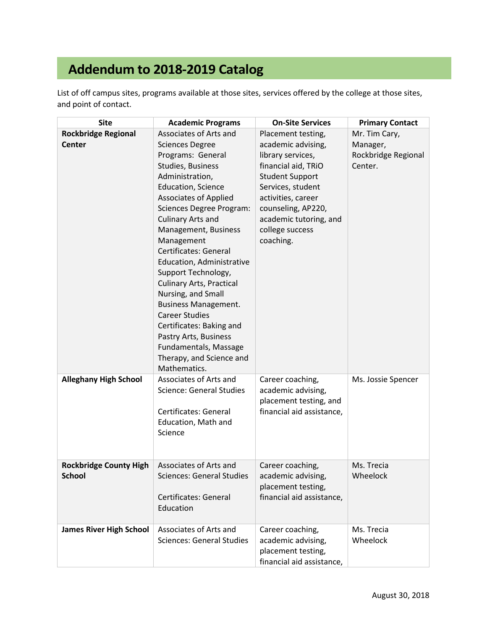## **Addendum to 2018-2019 Catalog**

List of off campus sites, programs available at those sites, services offered by the college at those sites, and point of contact.

| <b>Site</b>                                    | <b>Academic Programs</b>                                                                                                                                                                                                                                                                                                                                                                                                                                                                                                                                               | <b>On-Site Services</b>                                                                                                                                                                                             | <b>Primary Contact</b>                     |
|------------------------------------------------|------------------------------------------------------------------------------------------------------------------------------------------------------------------------------------------------------------------------------------------------------------------------------------------------------------------------------------------------------------------------------------------------------------------------------------------------------------------------------------------------------------------------------------------------------------------------|---------------------------------------------------------------------------------------------------------------------------------------------------------------------------------------------------------------------|--------------------------------------------|
| <b>Rockbridge Regional</b>                     | Associates of Arts and                                                                                                                                                                                                                                                                                                                                                                                                                                                                                                                                                 | Placement testing,                                                                                                                                                                                                  | Mr. Tim Cary,                              |
| <b>Center</b>                                  | <b>Sciences Degree</b><br>Programs: General<br>Studies, Business<br>Administration,<br>Education, Science<br><b>Associates of Applied</b><br><b>Sciences Degree Program:</b><br>Culinary Arts and<br>Management, Business<br>Management<br><b>Certificates: General</b><br>Education, Administrative<br>Support Technology,<br><b>Culinary Arts, Practical</b><br>Nursing, and Small<br><b>Business Management.</b><br><b>Career Studies</b><br>Certificates: Baking and<br>Pastry Arts, Business<br>Fundamentals, Massage<br>Therapy, and Science and<br>Mathematics. | academic advising,<br>library services,<br>financial aid, TRiO<br><b>Student Support</b><br>Services, student<br>activities, career<br>counseling, AP220,<br>academic tutoring, and<br>college success<br>coaching. | Manager,<br>Rockbridge Regional<br>Center. |
| <b>Alleghany High School</b>                   | Associates of Arts and<br><b>Science: General Studies</b><br>Certificates: General<br>Education, Math and<br>Science                                                                                                                                                                                                                                                                                                                                                                                                                                                   | Career coaching,<br>academic advising,<br>placement testing, and<br>financial aid assistance,                                                                                                                       | Ms. Jossie Spencer                         |
| <b>Rockbridge County High</b><br><b>School</b> | Associates of Arts and<br><b>Sciences: General Studies</b><br>Certificates: General<br>Education                                                                                                                                                                                                                                                                                                                                                                                                                                                                       | Career coaching,<br>academic advising,<br>placement testing,<br>financial aid assistance,                                                                                                                           | Ms. Trecia<br>Wheelock                     |
| <b>James River High School</b>                 | Associates of Arts and<br><b>Sciences: General Studies</b>                                                                                                                                                                                                                                                                                                                                                                                                                                                                                                             | Career coaching,<br>academic advising,<br>placement testing,<br>financial aid assistance,                                                                                                                           | Ms. Trecia<br>Wheelock                     |